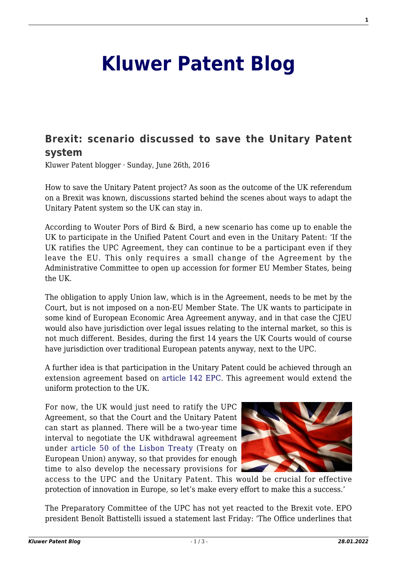## **[Kluwer Patent Blog](http://patentblog.kluweriplaw.com/)**

## **[Brexit: scenario discussed to save the Unitary Patent](http://patentblog.kluweriplaw.com/2016/06/26/brexit-new-scenario-discussed-to-save-the-unitary-patent-system/) [system](http://patentblog.kluweriplaw.com/2016/06/26/brexit-new-scenario-discussed-to-save-the-unitary-patent-system/)**

Kluwer Patent blogger · Sunday, June 26th, 2016

How to save the Unitary Patent project? As soon as the outcome of the UK referendum on a Brexit was known, discussions started behind the scenes about ways to adapt the Unitary Patent system so the UK can stay in.

According to Wouter Pors of Bird & Bird, a new scenario has come up to enable the UK to participate in the Unified Patent Court and even in the Unitary Patent: 'If the UK ratifies the UPC Agreement, they can continue to be a participant even if they leave the EU. This only requires a small change of the Agreement by the Administrative Committee to open up accession for former EU Member States, being the UK.

The obligation to apply Union law, which is in the Agreement, needs to be met by the Court, but is not imposed on a non-EU Member State. The UK wants to participate in some kind of European Economic Area Agreement anyway, and in that case the CJEU would also have jurisdiction over legal issues relating to the internal market, so this is not much different. Besides, during the first 14 years the UK Courts would of course have jurisdiction over traditional European patents anyway, next to the UPC.

A further idea is that participation in the Unitary Patent could be achieved through an extension agreement based on [article 142 EPC.](https://www.epo.org/law-practice/legal-texts/html/epc/2013/e/ar142.html) This agreement would extend the uniform protection to the UK.

For now, the UK would just need to ratify the UPC Agreement, so that the Court and the Unitary Patent can start as planned. There will be a two-year time interval to negotiate the UK withdrawal agreement under [article 50 of the Lisbon Treaty](http://www.lisbon-treaty.org/wcm/the-lisbon-treaty/treaty-on-European-union-and-comments/title-6-final-provisions/137-article-50.html) (Treaty on European Union) anyway, so that provides for enough time to also develop the necessary provisions for



access to the UPC and the Unitary Patent. This would be crucial for effective protection of innovation in Europe, so let's make every effort to make this a success.'

The Preparatory Committee of the UPC has not yet reacted to the Brexit vote. EPO president Benoît Battistelli issued a statement last Friday: 'The Office underlines that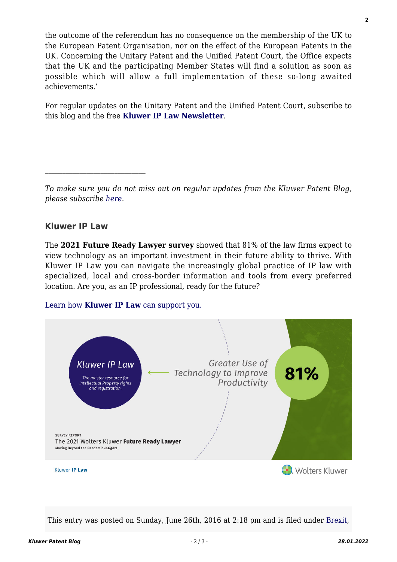the outcome of the referendum has no consequence on the membership of the UK to the European Patent Organisation, nor on the effect of the European Patents in the UK. Concerning the Unitary Patent and the Unified Patent Court, the Office expects that the UK and the participating Member States will find a solution as soon as possible which will allow a full implementation of these so-long awaited achievements.'

For regular updates on the Unitary Patent and the Unified Patent Court, subscribe to this blog and the free **[Kluwer IP Law Newsletter](http://genons.kluwerlawonline.com/public/subscription/KIPL/subscribe/)**.

## **Kluwer IP Law**

The **2021 Future Ready Lawyer survey** showed that 81% of the law firms expect to view technology as an important investment in their future ability to thrive. With Kluwer IP Law you can navigate the increasingly global practice of IP law with specialized, local and cross-border information and tools from every preferred location. Are you, as an IP professional, ready for the future?

## [Learn how](https://www.wolterskluwer.com/en/solutions/kluweriplaw?utm_source=patentblog&utm_medium=articleCTA&utm_campaign=article-banner) **[Kluwer IP Law](https://www.wolterskluwer.com/en/solutions/kluweriplaw?utm_source=patentblog&utm_medium=articleCTA&utm_campaign=article-banner)** [can support you.](https://www.wolterskluwer.com/en/solutions/kluweriplaw?utm_source=patentblog&utm_medium=articleCTA&utm_campaign=article-banner)



This entry was posted on Sunday, June 26th, 2016 at 2:18 pm and is filed under [Brexit,](http://patentblog.kluweriplaw.com/category/brexit/)

*To make sure you do not miss out on regular updates from the Kluwer Patent Blog, please subscribe [here.](http://patentblog.kluweriplaw.com/newsletter)*